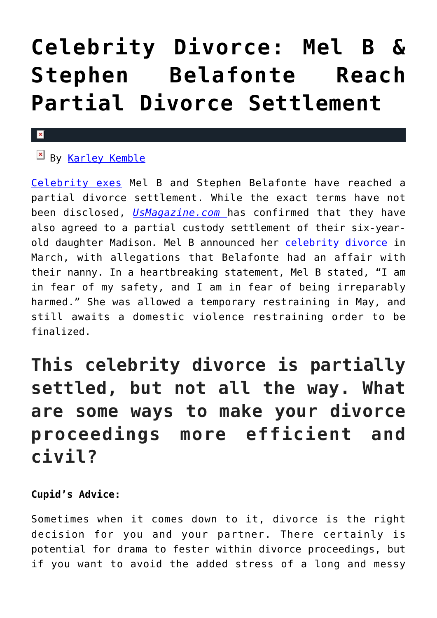# **[Celebrity Divorce: Mel B &](https://cupidspulse.com/121557/celebrity-divorce-mel-b-stephen-belafonte-partial-divorce-settlement/) [Stephen Belafonte Reach](https://cupidspulse.com/121557/celebrity-divorce-mel-b-stephen-belafonte-partial-divorce-settlement/) [Partial Divorce Settlement](https://cupidspulse.com/121557/celebrity-divorce-mel-b-stephen-belafonte-partial-divorce-settlement/)**

#### $\mathbf x$

## By [Karley Kemble](http://cupidspulse.com/121255/karley-kemble/)

[Celebrity exes](http://cupidspulse.com/celebrity-news/celebrity-break-ups/) Mel B and Stephen Belafonte have reached a partial divorce settlement. While the exact terms have not been disclosed, *[UsMagazine.com](https://www.usmagazine.com/celebrity-news/news/mel-b-stephen-belafonte-reach-partial-divorce-settlement/)* has confirmed that they have also agreed to a partial custody settlement of their six-yearold daughter Madison*.* Mel B announced her [celebrity divorce](http://cupidspulse.com/celebrity-news/celebrity-break-ups/) in March, with allegations that Belafonte had an affair with their nanny. In a heartbreaking statement, Mel B stated, "I am in fear of my safety, and I am in fear of being irreparably harmed." She was allowed a temporary restraining in May, and still awaits a domestic violence restraining order to be finalized.

# **This celebrity divorce is partially settled, but not all the way. What are some ways to make your divorce proceedings more efficient and civil?**

### **Cupid's Advice:**

Sometimes when it comes down to it, divorce is the right decision for you and your partner. There certainly is potential for drama to fester within divorce proceedings, but if you want to avoid the added stress of a long and messy